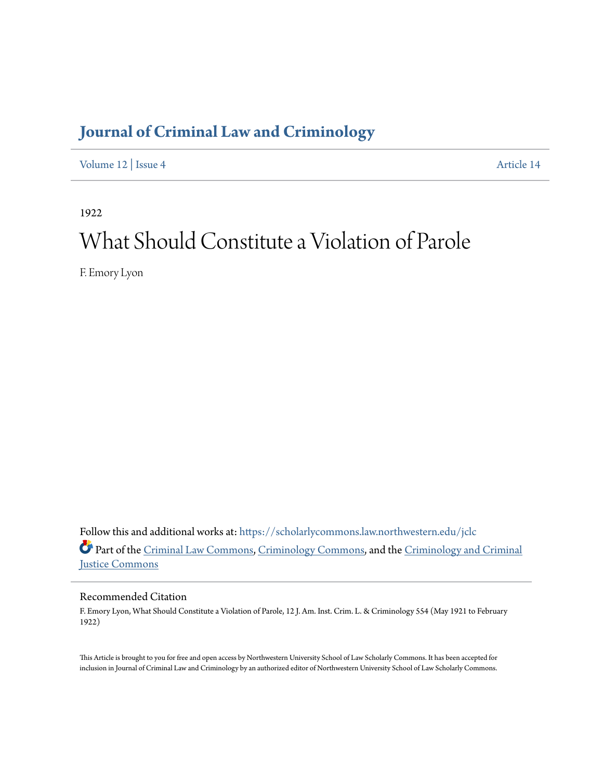# **[Journal of Criminal Law and Criminology](https://scholarlycommons.law.northwestern.edu/jclc?utm_source=scholarlycommons.law.northwestern.edu%2Fjclc%2Fvol12%2Fiss4%2F14&utm_medium=PDF&utm_campaign=PDFCoverPages)**

[Volume 12](https://scholarlycommons.law.northwestern.edu/jclc/vol12?utm_source=scholarlycommons.law.northwestern.edu%2Fjclc%2Fvol12%2Fiss4%2F14&utm_medium=PDF&utm_campaign=PDFCoverPages) | [Issue 4](https://scholarlycommons.law.northwestern.edu/jclc/vol12/iss4?utm_source=scholarlycommons.law.northwestern.edu%2Fjclc%2Fvol12%2Fiss4%2F14&utm_medium=PDF&utm_campaign=PDFCoverPages) [Article 14](https://scholarlycommons.law.northwestern.edu/jclc/vol12/iss4/14?utm_source=scholarlycommons.law.northwestern.edu%2Fjclc%2Fvol12%2Fiss4%2F14&utm_medium=PDF&utm_campaign=PDFCoverPages)

1922

# What Should Constitute a Violation of Parole

F. Emory Lyon

Follow this and additional works at: [https://scholarlycommons.law.northwestern.edu/jclc](https://scholarlycommons.law.northwestern.edu/jclc?utm_source=scholarlycommons.law.northwestern.edu%2Fjclc%2Fvol12%2Fiss4%2F14&utm_medium=PDF&utm_campaign=PDFCoverPages) Part of the [Criminal Law Commons](http://network.bepress.com/hgg/discipline/912?utm_source=scholarlycommons.law.northwestern.edu%2Fjclc%2Fvol12%2Fiss4%2F14&utm_medium=PDF&utm_campaign=PDFCoverPages), [Criminology Commons](http://network.bepress.com/hgg/discipline/417?utm_source=scholarlycommons.law.northwestern.edu%2Fjclc%2Fvol12%2Fiss4%2F14&utm_medium=PDF&utm_campaign=PDFCoverPages), and the [Criminology and Criminal](http://network.bepress.com/hgg/discipline/367?utm_source=scholarlycommons.law.northwestern.edu%2Fjclc%2Fvol12%2Fiss4%2F14&utm_medium=PDF&utm_campaign=PDFCoverPages) [Justice Commons](http://network.bepress.com/hgg/discipline/367?utm_source=scholarlycommons.law.northwestern.edu%2Fjclc%2Fvol12%2Fiss4%2F14&utm_medium=PDF&utm_campaign=PDFCoverPages)

### Recommended Citation

F. Emory Lyon, What Should Constitute a Violation of Parole, 12 J. Am. Inst. Crim. L. & Criminology 554 (May 1921 to February 1922)

This Article is brought to you for free and open access by Northwestern University School of Law Scholarly Commons. It has been accepted for inclusion in Journal of Criminal Law and Criminology by an authorized editor of Northwestern University School of Law Scholarly Commons.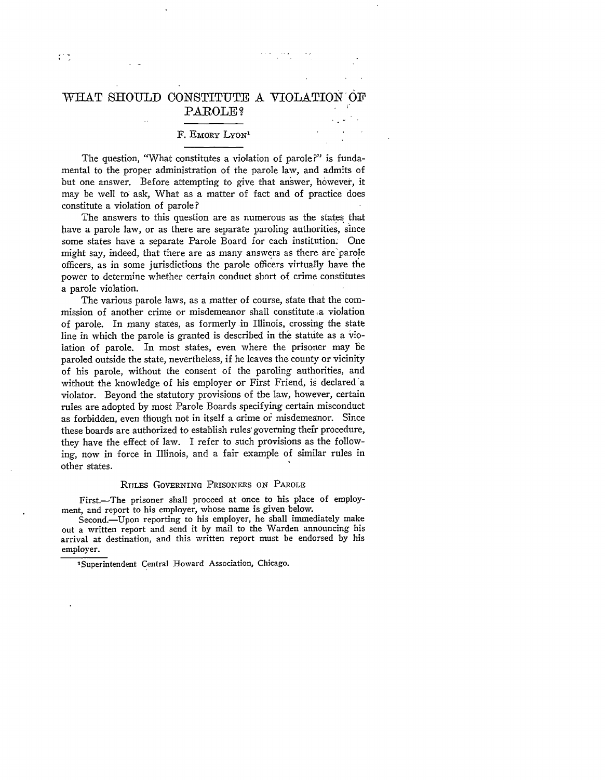## WHAT SHOULD CONSTITUTE A VIOLATION PAROLE?

#### F. EMORY LYON<sup>1</sup>

The question, "What constitutes a violation of parole?" is fundamental to the proper administration of the parole law, and admits of but one answer. Before attempting to give that answer, however, it may be well to ask, What as a matter of fact and of practice does constitute a violation of parole?

The answers to this question are as numerous as the states that have a parole law, or as there are separate paroling authorities, since some states have a separate Parole Board for each institution. One might say, indeed, that there are as many answers as there are'parole officers, as in some jurisdictions the parole officers virtually have the power to determine whether certain conduct short of crime constitutes a parole violation.

The various parole laws, as a matter of course, state that the commission of another crime or misdemeanor shall constitute ,a violation of parole. In many states, as formerly in Illinois, crossing the state line in which the parole is granted is described in the statute as a **'vio**lation of parole. In most states, even where the prisoner may be paroled outside the state, nevertheless, if he leaves the county or vicinity of his parole, without the consent of the paroling authorities, and without the knowledge of his employer or First Friend, is declared'a violator. Beyond the statutory provisions of the law, however, certain rules are adopted by most Parole Boards specifying certain misconduct as forbidden, even though not in itself a crime or misdemeanor. Since these boards are authorized to establish rules governing their procedure, they have the effect of law. I refer to such provisions as the following, now in force in Illinois, and a fair example of similar rules in other states.

#### RULES GOVERNING PRISONERS **ON** PAROLE

First.-The prisoner shall proceed at once to his place of employment, and report to his employer, whose name is given below.

Second.-Upon reporting to his employer, he shall immediately make out a written report and send it by mail to the Warden announcing his arrival at destination, and this written report must be endorsed by his employer.

<sup>&#</sup>x27;Superintendent Central Howard Association, Chicago.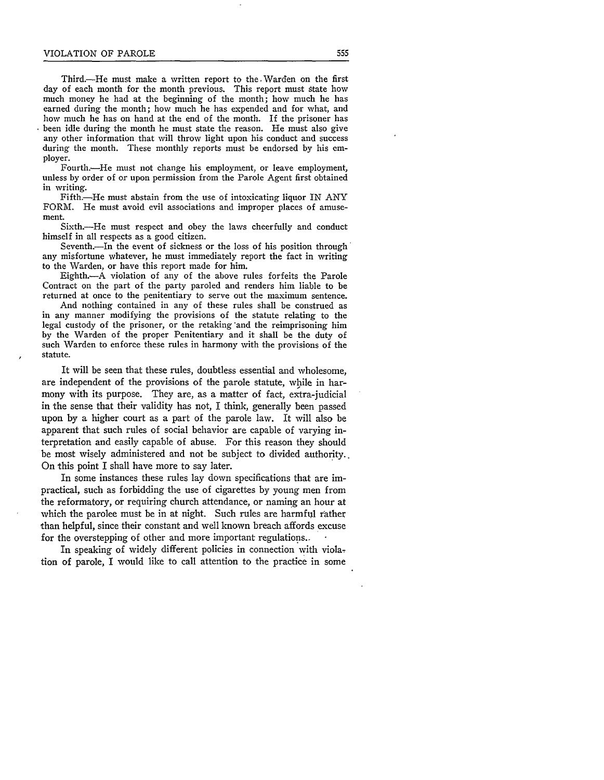Third.-He must make a written report to the Warden on the first day of each month for the month previous. This report must state how much money he had at the beginning of the month; how much he has earned during the month; how much he has expended and for what, and how much he has on hand at the end of the month. If the prisoner has been idle during the month he must state the reason. He must also give any other information that will throw light upon his conduct and success during the month. These monthly reports must be endorsed by his employer.

Fourth.-He must not change his employment, or leave employment, unless by order of or upon permission from the Parole Agent first obtained in writing.

Fifth-He must abstain from the use of intoxicating liquor IN ANY FORM. He must avoid evil associations and improper places of amusement.

Sixth.-He must respect and obey the laws cheerfully and conduct himself in all respects as a good citizen.

Seventh.-In the event of sickness or the loss of his position through any misfortune whatever, he must immediately report the fact in writing to the Warden, or have this report made for him.

Eighth.-A violation of any of the above rules forfeits the Parole Contract on the part of the party paroled and renders him liable to be returned at once to the penitentiary to serve out the maximum sentence.

And nothing contained in any of these rules shall be construed as in any manner modifying the provisions of the statute relating to the legal custody of the prisoner, or the retaking and the reimprisoning him by the Warden of the proper Penitentiary and it shall be the duty of such Warden to enforce these rules in harmony with the provisions of the statute.

It will be seen that these rules, doubtless essential and wholesome, are independent of the provisions of the parole statute, while in harmony with its purpose. They are, as a matter of fact, extra-judicial in the sense that their validity has not, I think, generally been passed upon by a higher court as a part of the parole law. It will also be apparent that such rules of social behavior are capable of varying interpretation and easily capable of abuse. For this reason they should be most wisely administered and not be subject to divided authority.. On this point I shall have more to say later.

In some instances these rules lay down specifications that are impractical, such as forbidding the use of cigarettes by young men from the reformatory, or requiring church attendance, or naming an hour at which the parolee must be in at night. Such rules are harmful rather than helpful, since their constant and well known breach affords excuse for the overstepping of other and more important regulations.

In speaking of widely different policies in connection with violation of parole, I would like to call attention to the practice in some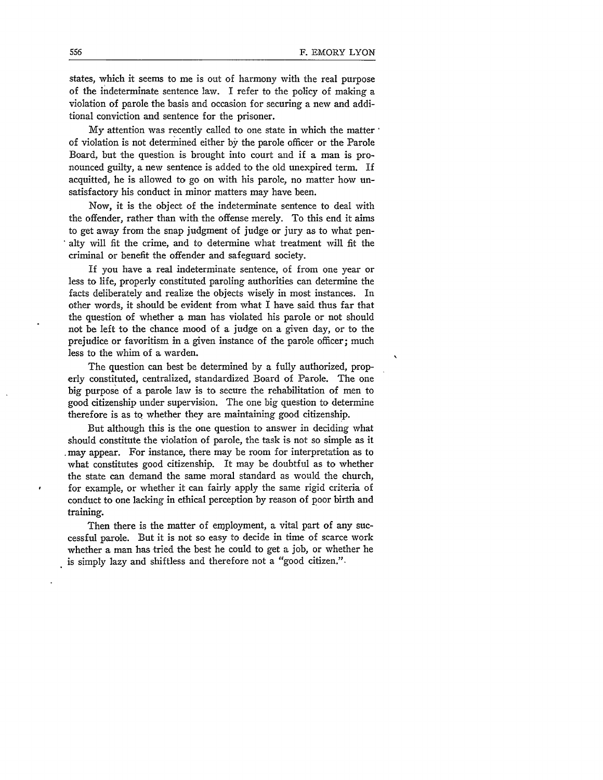states, which it seems to me is out of harmony with the real purpose of the indeterminate sentence law. I refer to the policy of making a violation of parole the basis and occasion for securing a new and additional conviction and sentence for the prisoner.

My attention was recently called to one state in which the matter ' of violation is not determined either by the parole officer or the Parole Board, but the question is brought into court and if a man is pronounced guilty, a new sentence is added to the old unexpired term. If acquitted, he is allowed to go on with his parole, no matter how unsatisfactory his conduct in minor matters may have been.

Now, it is the object of the indeterminate sentence to deal with the offender, rather than with the offense merely. To this end it aims to get away from the snap judgment of judge or jury as to what penalty will fit the crime, and to determine what treatment will fit the criminal or benefit the offender and safeguard society.

If you have a real indeterminate sentence, of from one year or less to life, properly constituted paroling authorities can determine the facts deliberately and realize the objects wisely in most instances. In other words, it should be evident from what I have said thus far that the question of whether a man has violated his parole or not should not be left to the chance mood of a judge on a given day, or to the prejudice or favoritism in a given instance of the parole officer; much less to the whim of a warden.

The question can best be determined by a fully authorized, properly constituted, centralized, standardized Board of Parole. The one big purpose of a parole law is to secure the rehabilitation of men to good citizenship under supervision. The one big question to determine therefore is as to whether they are maintaining good citizenship.

But although this is the one question to answer in deciding what should constitute the violation of parole, the task is not so simple as it .may appear. For instance, there may be room for interpretation as to what constitutes good citizenship. It may be doubtful as to whether the state can demand the same moral standard as would the church, for example, or whether it can fairly apply the same rigid criteria of conduct to one lacking in ethical perception by reason of poor birth and training.

Then there is the matter of enployment, a vital part of any successful parole. But it is not so easy to decide in time of scarce work whether a man has tried the best he could to get a job, or whether he is simply lazy and shiftless and therefore not a "good citizen.".